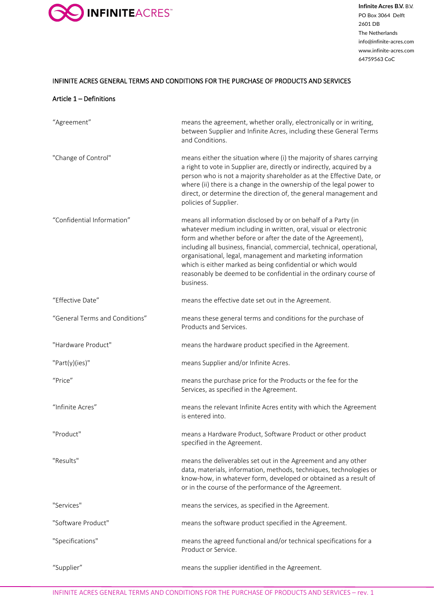

# INFINITE ACRES GENERAL TERMS AND CONDITIONS FOR THE PURCHASE OF PRODUCTS AND SERVICES

#### Article 1 – Definitions

| "Agreement"                    | means the agreement, whether orally, electronically or in writing,<br>between Supplier and Infinite Acres, including these General Terms<br>and Conditions.                                                                                                                                                                                                                                                                                                                                  |
|--------------------------------|----------------------------------------------------------------------------------------------------------------------------------------------------------------------------------------------------------------------------------------------------------------------------------------------------------------------------------------------------------------------------------------------------------------------------------------------------------------------------------------------|
| "Change of Control"            | means either the situation where (i) the majority of shares carrying<br>a right to vote in Supplier are, directly or indirectly, acquired by a<br>person who is not a majority shareholder as at the Effective Date, or<br>where (ii) there is a change in the ownership of the legal power to<br>direct, or determine the direction of, the general management and<br>policies of Supplier.                                                                                                 |
| "Confidential Information"     | means all information disclosed by or on behalf of a Party (in<br>whatever medium including in written, oral, visual or electronic<br>form and whether before or after the date of the Agreement),<br>including all business, financial, commercial, technical, operational,<br>organisational, legal, management and marketing information<br>which is either marked as being confidential or which would<br>reasonably be deemed to be confidential in the ordinary course of<br>business. |
| "Effective Date"               | means the effective date set out in the Agreement.                                                                                                                                                                                                                                                                                                                                                                                                                                           |
| "General Terms and Conditions" | means these general terms and conditions for the purchase of<br>Products and Services.                                                                                                                                                                                                                                                                                                                                                                                                       |
| "Hardware Product"             | means the hardware product specified in the Agreement.                                                                                                                                                                                                                                                                                                                                                                                                                                       |
| "Part(y)(ies)"                 | means Supplier and/or Infinite Acres.                                                                                                                                                                                                                                                                                                                                                                                                                                                        |
| "Price"                        | means the purchase price for the Products or the fee for the<br>Services, as specified in the Agreement.                                                                                                                                                                                                                                                                                                                                                                                     |
| "Infinite Acres"               | means the relevant Infinite Acres entity with which the Agreement<br>is entered into.                                                                                                                                                                                                                                                                                                                                                                                                        |
| "Product"                      | means a Hardware Product, Software Product or other product<br>specified in the Agreement.                                                                                                                                                                                                                                                                                                                                                                                                   |
| "Results"                      | means the deliverables set out in the Agreement and any other<br>data, materials, information, methods, techniques, technologies or<br>know-how, in whatever form, developed or obtained as a result of<br>or in the course of the performance of the Agreement.                                                                                                                                                                                                                             |
| "Services"                     | means the services, as specified in the Agreement.                                                                                                                                                                                                                                                                                                                                                                                                                                           |
| "Software Product"             | means the software product specified in the Agreement.                                                                                                                                                                                                                                                                                                                                                                                                                                       |
| "Specifications"               | means the agreed functional and/or technical specifications for a<br>Product or Service.                                                                                                                                                                                                                                                                                                                                                                                                     |
| "Supplier"                     | means the supplier identified in the Agreement.                                                                                                                                                                                                                                                                                                                                                                                                                                              |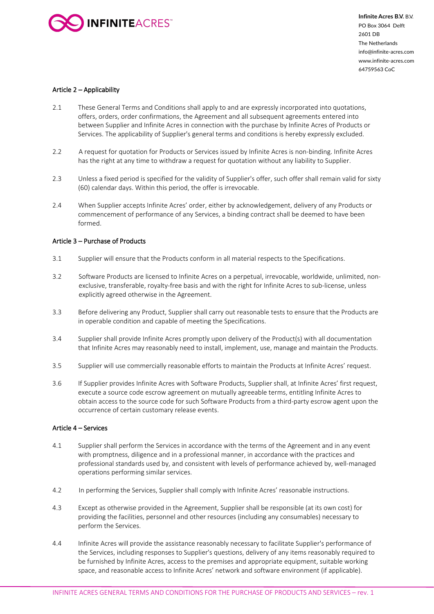

# Article 2 – Applicability

- 2.1 These General Terms and Conditions shall apply to and are expressly incorporated into quotations, offers, orders, order confirmations, the Agreement and all subsequent agreements entered into between Supplier and Infinite Acres in connection with the purchase by Infinite Acres of Products or Services. The applicability of Supplier's general terms and conditions is hereby expressly excluded.
- 2.2 A request for quotation for Products or Services issued by Infinite Acres is non-binding. Infinite Acres has the right at any time to withdraw a request for quotation without any liability to Supplier.
- 2.3 Unless a fixed period is specified for the validity of Supplier's offer, such offer shall remain valid for sixty (60) calendar days. Within this period, the offer is irrevocable.
- 2.4 When Supplier accepts Infinite Acres' order, either by acknowledgement, delivery of any Products or commencement of performance of any Services, a binding contract shall be deemed to have been formed.

# Article 3 – Purchase of Products

- 3.1 Supplier will ensure that the Products conform in all material respects to the Specifications.
- 3.2 Software Products are licensed to Infinite Acres on a perpetual, irrevocable, worldwide, unlimited, nonexclusive, transferable, royalty-free basis and with the right for Infinite Acres to sub-license, unless explicitly agreed otherwise in the Agreement.
- 3.3 Before delivering any Product, Supplier shall carry out reasonable tests to ensure that the Products are in operable condition and capable of meeting the Specifications.
- 3.4 Supplier shall provide Infinite Acres promptly upon delivery of the Product(s) with all documentation that Infinite Acres may reasonably need to install, implement, use, manage and maintain the Products.
- 3.5 Supplier will use commercially reasonable efforts to maintain the Products at Infinite Acres' request.
- 3.6 If Supplier provides Infinite Acres with Software Products, Supplier shall, at Infinite Acres' first request, execute a source code escrow agreement on mutually agreeable terms, entitling Infinite Acres to obtain access to the source code for such Software Products from a third-party escrow agent upon the occurrence of certain customary release events.

# Article 4 – Services

- 4.1 Supplier shall perform the Services in accordance with the terms of the Agreement and in any event with promptness, diligence and in a professional manner, in accordance with the practices and professional standards used by, and consistent with levels of performance achieved by, well-managed operations performing similar services.
- 4.2 In performing the Services, Supplier shall comply with Infinite Acres' reasonable instructions.
- 4.3 Except as otherwise provided in the Agreement, Supplier shall be responsible (at its own cost) for providing the facilities, personnel and other resources (including any consumables) necessary to perform the Services.
- 4.4 Infinite Acres will provide the assistance reasonably necessary to facilitate Supplier's performance of the Services, including responses to Supplier's questions, delivery of any items reasonably required to be furnished by Infinite Acres, access to the premises and appropriate equipment, suitable working space, and reasonable access to Infinite Acres' network and software environment (if applicable).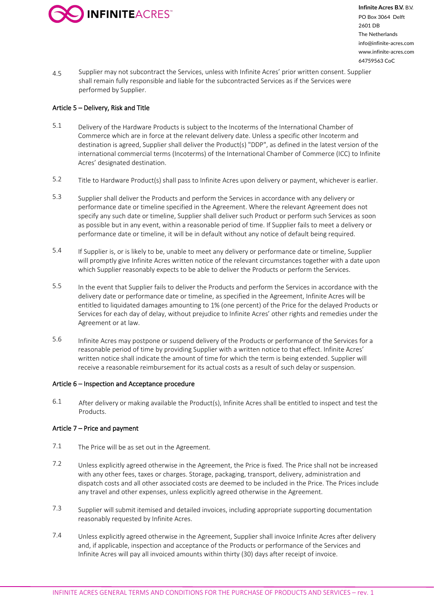

4.5 Supplier may not subcontract the Services, unless with Infinite Acres' prior written consent. Supplier shall remain fully responsible and liable for the subcontracted Services as if the Services were performed by Supplier.

# Article 5 – Delivery, Risk and Title

- 5.1 Delivery of the Hardware Products is subject to the Incoterms of the International Chamber of Commerce which are in force at the relevant delivery date. Unless a specific other Incoterm and destination is agreed, Supplier shall deliver the Product(s) "DDP", as defined in the latest version of the international commercial terms (Incoterms) of the International Chamber of Commerce (ICC) to Infinite Acres' designated destination.
- 5.2 Title to Hardware Product(s) shall pass to Infinite Acres upon delivery or payment, whichever is earlier.
- 5.3 Supplier shall deliver the Products and perform the Services in accordance with any delivery or performance date or timeline specified in the Agreement. Where the relevant Agreement does not specify any such date or timeline, Supplier shall deliver such Product or perform such Services as soon as possible but in any event, within a reasonable period of time. If Supplier fails to meet a delivery or performance date or timeline, it will be in default without any notice of default being required.
- 5.4 If Supplier is, or is likely to be, unable to meet any delivery or performance date or timeline, Supplier will promptly give Infinite Acres written notice of the relevant circumstances together with a date upon which Supplier reasonably expects to be able to deliver the Products or perform the Services.
- 5.5 In the event that Supplier fails to deliver the Products and perform the Services in accordance with the delivery date or performance date or timeline, as specified in the Agreement, Infinite Acres will be entitled to liquidated damages amounting to 1% (one percent) of the Price for the delayed Products or Services for each day of delay, without prejudice to Infinite Acres' other rights and remedies under the Agreement or at law.
- 5.6 Infinite Acres may postpone or suspend delivery of the Products or performance of the Services for a reasonable period of time by providing Supplier with a written notice to that effect. Infinite Acres' written notice shall indicate the amount of time for which the term is being extended. Supplier will receive a reasonable reimbursement for its actual costs as a result of such delay or suspension.

# Article 6 – Inspection and Acceptance procedure

6.1 After delivery or making available the Product(s), Infinite Acres shall be entitled to inspect and test the Products.

# Article 7 – Price and payment

- 7.1 The Price will be as set out in the Agreement.
- 7.2 Unless explicitly agreed otherwise in the Agreement, the Price is fixed. The Price shall not be increased with any other fees, taxes or charges. Storage, packaging, transport, delivery, administration and dispatch costs and all other associated costs are deemed to be included in the Price. The Prices include any travel and other expenses, unless explicitly agreed otherwise in the Agreement.
- 7.3 Supplier will submit itemised and detailed invoices, including appropriate supporting documentation reasonably requested by Infinite Acres.
- 7.4 Unless explicitly agreed otherwise in the Agreement, Supplier shall invoice Infinite Acres after delivery and, if applicable, inspection and acceptance of the Products or performance of the Services and Infinite Acres will pay all invoiced amounts within thirty (30) days after receipt of invoice.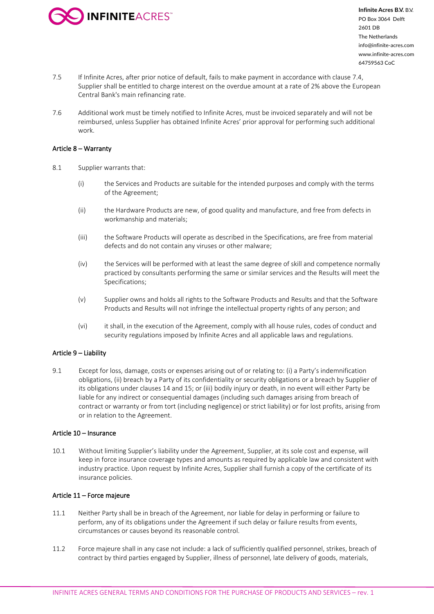

- 7.5 If Infinite Acres, after prior notice of default, fails to make payment in accordance with clause 7.4, Supplier shall be entitled to charge interest on the overdue amount at a rate of 2% above the European Central Bank's main refinancing rate.
- 7.6 Additional work must be timely notified to Infinite Acres, must be invoiced separately and will not be reimbursed, unless Supplier has obtained Infinite Acres' prior approval for performing such additional work.

#### Article 8 – Warranty

- 8.1 Supplier warrants that:
	- (i) the Services and Products are suitable for the intended purposes and comply with the terms of the Agreement;
	- (ii) the Hardware Products are new, of good quality and manufacture, and free from defects in workmanship and materials;
	- (iii) the Software Products will operate as described in the Specifications, are free from material defects and do not contain any viruses or other malware;
	- (iv) the Services will be performed with at least the same degree of skill and competence normally practiced by consultants performing the same or similar services and the Results will meet the Specifications;
	- (v) Supplier owns and holds all rights to the Software Products and Results and that the Software Products and Results will not infringe the intellectual property rights of any person; and
	- (vi) it shall, in the execution of the Agreement, comply with all house rules, codes of conduct and security regulations imposed by Infinite Acres and all applicable laws and regulations.

# Article 9 – Liability

9.1 Except for loss, damage, costs or expenses arising out of or relating to: (i) a Party's indemnification obligations, (ii) breach by a Party of its confidentiality or security obligations or a breach by Supplier of its obligations under clauses 14 and 15; or (iii) bodily injury or death, in no event will either Party be liable for any indirect or consequential damages (including such damages arising from breach of contract or warranty or from tort (including negligence) or strict liability) or for lost profits, arising from or in relation to the Agreement.

#### Article 10 – Insurance

10.1 Without limiting Supplier's liability under the Agreement, Supplier, at its sole cost and expense, will keep in force insurance coverage types and amounts as required by applicable law and consistent with industry practice. Upon request by Infinite Acres, Supplier shall furnish a copy of the certificate of its insurance policies.

#### Article 11 – Force majeure

- 11.1 Neither Party shall be in breach of the Agreement, nor liable for delay in performing or failure to perform, any of its obligations under the Agreement if such delay or failure results from events, circumstances or causes beyond its reasonable control.
- 11.2 Force majeure shall in any case not include: a lack of sufficiently qualified personnel, strikes, breach of contract by third parties engaged by Supplier, illness of personnel, late delivery of goods, materials,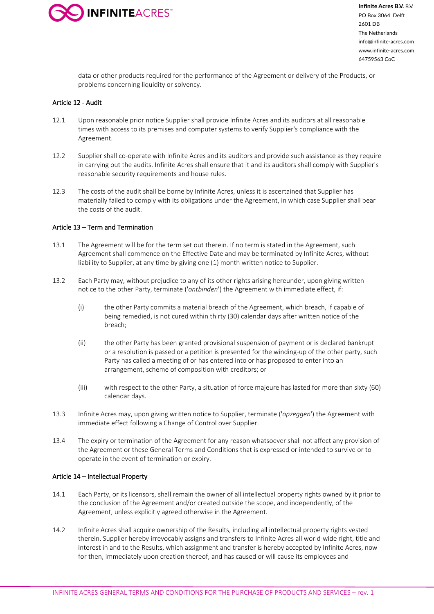

data or other products required for the performance of the Agreement or delivery of the Products, or problems concerning liquidity or solvency.

# Article 12 - Audit

- 12.1 Upon reasonable prior notice Supplier shall provide Infinite Acres and its auditors at all reasonable times with access to its premises and computer systems to verify Supplier's compliance with the Agreement.
- 12.2 Supplier shall co-operate with Infinite Acres and its auditors and provide such assistance as they require in carrying out the audits. Infinite Acres shall ensure that it and its auditors shall comply with Supplier's reasonable security requirements and house rules.
- 12.3 The costs of the audit shall be borne by Infinite Acres, unless it is ascertained that Supplier has materially failed to comply with its obligations under the Agreement, in which case Supplier shall bear the costs of the audit.

# Article 13 – Term and Termination

- 13.1 The Agreement will be for the term set out therein. If no term is stated in the Agreement, such Agreement shall commence on the Effective Date and may be terminated by Infinite Acres, without liability to Supplier, at any time by giving one (1) month written notice to Supplier.
- 13.2 Each Party may, without prejudice to any of its other rights arising hereunder, upon giving written notice to the other Party, terminate ('*ontbinden*') the Agreement with immediate effect, if:
	- (i) the other Party commits a material breach of the Agreement, which breach, if capable of being remedied, is not cured within thirty (30) calendar days after written notice of the breach;
	- (ii) the other Party has been granted provisional suspension of payment or is declared bankrupt or a resolution is passed or a petition is presented for the winding-up of the other party, such Party has called a meeting of or has entered into or has proposed to enter into an arrangement, scheme of composition with creditors; or
	- (iii) with respect to the other Party, a situation of force majeure has lasted for more than sixty (60) calendar days.
- 13.3 Infinite Acres may, upon giving written notice to Supplier, terminate ('*opzeggen*') the Agreement with immediate effect following a Change of Control over Supplier.
- 13.4 The expiry or termination of the Agreement for any reason whatsoever shall not affect any provision of the Agreement or these General Terms and Conditions that is expressed or intended to survive or to operate in the event of termination or expiry.

# Article 14 – Intellectual Property

- 14.1 Each Party, or its licensors, shall remain the owner of all intellectual property rights owned by it prior to the conclusion of the Agreement and/or created outside the scope, and independently, of the Agreement, unless explicitly agreed otherwise in the Agreement.
- 14.2 Infinite Acres shall acquire ownership of the Results, including all intellectual property rights vested therein. Supplier hereby irrevocably assigns and transfers to Infinite Acres all world-wide right, title and interest in and to the Results, which assignment and transfer is hereby accepted by Infinite Acres, now for then, immediately upon creation thereof, and has caused or will cause its employees and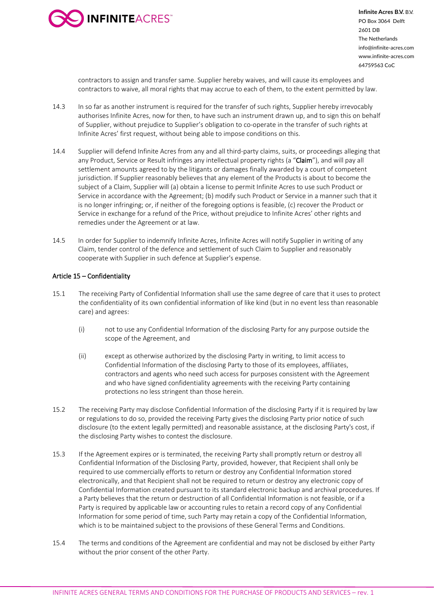

contractors to assign and transfer same. Supplier hereby waives, and will cause its employees and contractors to waive, all moral rights that may accrue to each of them, to the extent permitted by law.

- 14.3 In so far as another instrument is required for the transfer of such rights, Supplier hereby irrevocably authorises Infinite Acres, now for then, to have such an instrument drawn up, and to sign this on behalf of Supplier, without prejudice to Supplier's obligation to co-operate in the transfer of such rights at Infinite Acres' first request, without being able to impose conditions on this.
- 14.4 Supplier will defend Infinite Acres from any and all third-party claims, suits, or proceedings alleging that any Product, Service or Result infringes any intellectual property rights (a "Claim"), and will pay all settlement amounts agreed to by the litigants or damages finally awarded by a court of competent jurisdiction. If Supplier reasonably believes that any element of the Products is about to become the subject of a Claim, Supplier will (a) obtain a license to permit Infinite Acres to use such Product or Service in accordance with the Agreement; (b) modify such Product or Service in a manner such that it is no longer infringing; or, if neither of the foregoing options is feasible, (c) recover the Product or Service in exchange for a refund of the Price, without prejudice to Infinite Acres' other rights and remedies under the Agreement or at law.
- 14.5 In order for Supplier to indemnify Infinite Acres, Infinite Acres will notify Supplier in writing of any Claim, tender control of the defence and settlement of such Claim to Supplier and reasonably cooperate with Supplier in such defence at Supplier's expense.

# Article 15 – Confidentiality

- 15.1 The receiving Party of Confidential Information shall use the same degree of care that it uses to protect the confidentiality of its own confidential information of like kind (but in no event less than reasonable care) and agrees:
	- (i) not to use any Confidential Information of the disclosing Party for any purpose outside the scope of the Agreement, and
	- (ii) except as otherwise authorized by the disclosing Party in writing, to limit access to Confidential Information of the disclosing Party to those of its employees, affiliates, contractors and agents who need such access for purposes consistent with the Agreement and who have signed confidentiality agreements with the receiving Party containing protections no less stringent than those herein.
- 15.2 The receiving Party may disclose Confidential Information of the disclosing Party if it is required by law or regulations to do so, provided the receiving Party gives the disclosing Party prior notice of such disclosure (to the extent legally permitted) and reasonable assistance, at the disclosing Party's cost, if the disclosing Party wishes to contest the disclosure.
- 15.3 If the Agreement expires or is terminated, the receiving Party shall promptly return or destroy all Confidential Information of the Disclosing Party, provided, however, that Recipient shall only be required to use commercially efforts to return or destroy any Confidential Information stored electronically, and that Recipient shall not be required to return or destroy any electronic copy of Confidential Information created pursuant to its standard electronic backup and archival procedures. If a Party believes that the return or destruction of all Confidential Information is not feasible, or if a Party is required by applicable law or accounting rules to retain a record copy of any Confidential Information for some period of time, such Party may retain a copy of the Confidential Information, which is to be maintained subject to the provisions of these General Terms and Conditions.
- 15.4 The terms and conditions of the Agreement are confidential and may not be disclosed by either Party without the prior consent of the other Party.